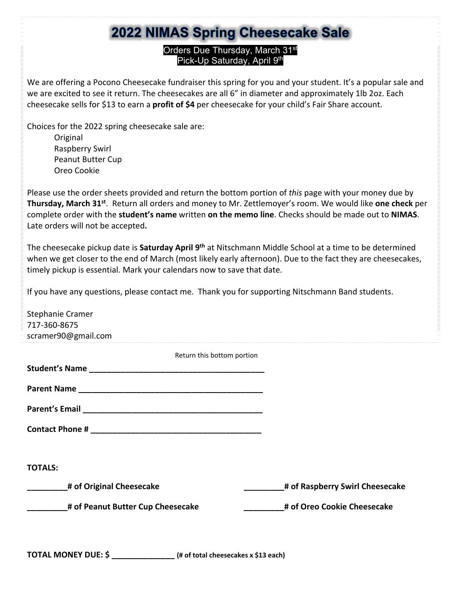### 2022 NIMAS Spring Cheesecake Sale

#### Orders Due Thursday, March 31<sup>st</sup> Pick-Up Saturday, April 9th

We are offering a Pocono Cheesecake fundraiser this spring for you and your student. It's a popular sale and we are excited to see it return. The cheesecakes are all 6" in diameter and approximately 1lb 2oz. Each cheesecake sells for \$13 to earn a **profit of \$4** per cheesecake for your child's Fair Share account.

Choices for the 2022 spring cheesecake sale are:

Original Raspberry Swirl Peanut Butter Cup Oreo Cookie

Please use the order sheets provided and return the bottom portion of *this* page with your money due by **Thursday, March 31st**. Return all orders and money to Mr. Zettlemoyer's room. We would like **one check** per complete order with the **student's name** written **on the memo line**. Checks should be made out to **NIMAS**. Late orders will not be accepted**.** 

The cheesecake pickup date is **Saturday April 9th** at Nitschmann Middle School at a time to be determined when we get closer to the end of March (most likely early afternoon). Due to the fact they are cheesecakes, timely pickup is essential. Mark your calendars now to save that date.

If you have any questions, please contact me. Thank you for supporting Nitschmann Band students.

| Stephanie Cramer                  |                                 |
|-----------------------------------|---------------------------------|
| 717-360-8675                      |                                 |
| scramer90@gmail.com               |                                 |
| Return this bottom portion        |                                 |
|                                   |                                 |
|                                   |                                 |
|                                   |                                 |
|                                   |                                 |
|                                   |                                 |
|                                   |                                 |
| <b>TOTALS:</b>                    |                                 |
| # of Original Cheesecake          | # of Raspberry Swirl Cheesecake |
| # of Peanut Butter Cup Cheesecake | # of Oreo Cookie Cheesecake     |
|                                   |                                 |
|                                   |                                 |

**TOTAL MONEY DUE: \$ \_\_\_\_\_\_\_\_\_\_\_\_\_\_ (# of total cheesecakes x \$13 each)**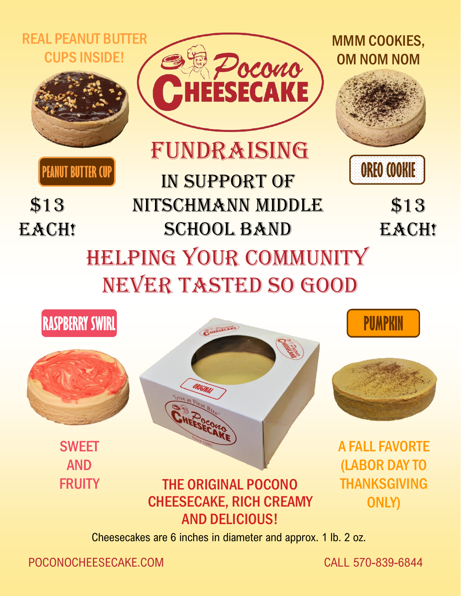#### REAL PEANUT BUTTER CUPS INSIDE!



**PEANUT BUTTER CUP** 

\$13

EACH!



Fundraising

In support of

NITSCHMANN MIDDLE

**SCHOOL BAND** 



MMM COOKIES,

OM NOM NOM

\$13 EACH!

# Helping your community NEVER TASTED SO GOOD



SWEET AND **FRUITY** 







A FALL FAVORTE (LABOR DAY TO THANKSGIVING ONLY)

## THE ORIGINAL POCONO CHEESECAKE, RICH CREAMY AND DELICIOUS!

Cheesecakes are 6 inches in diameter and approx. 1 lb. 2 oz.

POCONOCHEESECAKE.COM CALL 570-839-6844